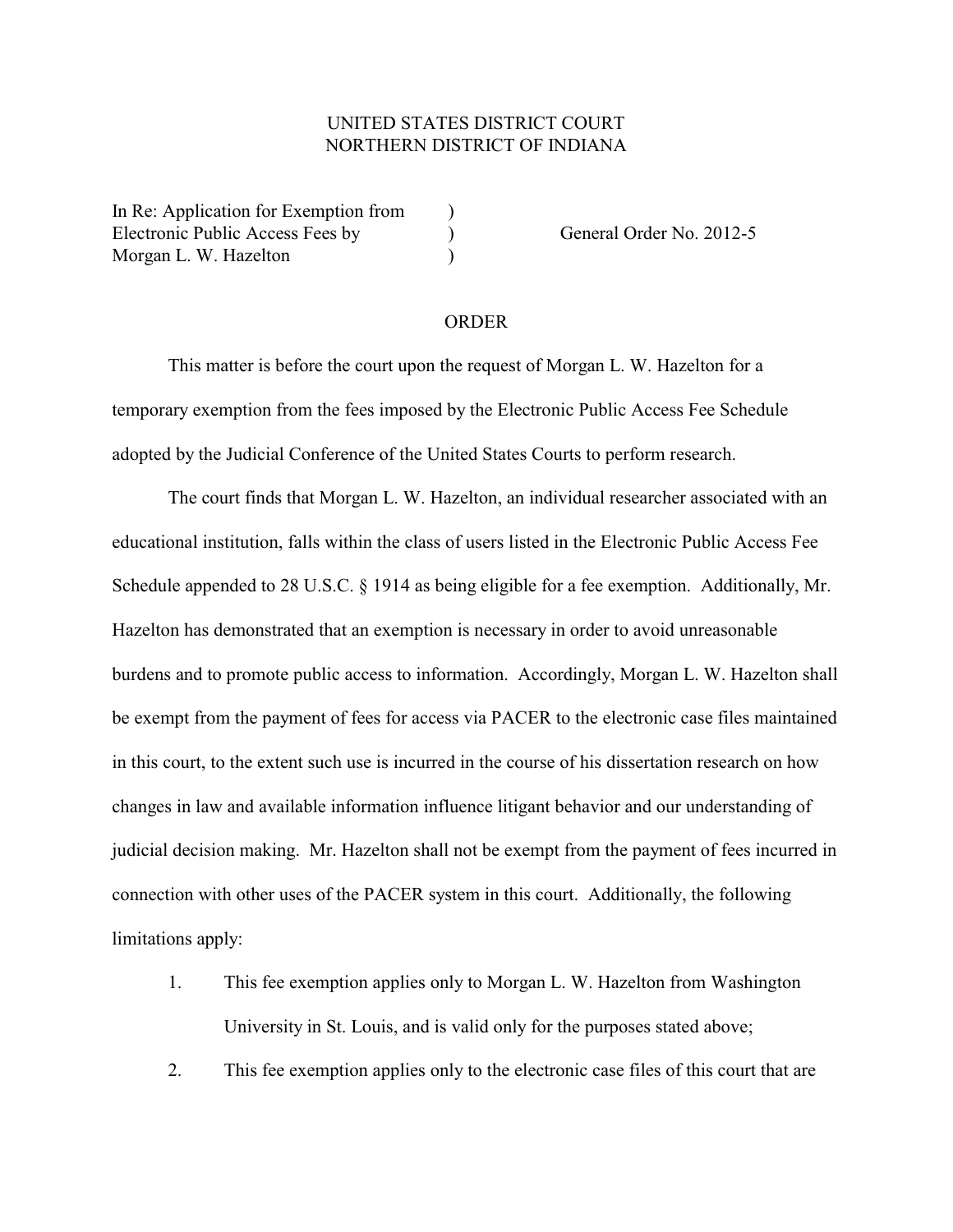## UNITED STATES DISTRICT COURT NORTHERN DISTRICT OF INDIANA

In Re: Application for Exemption from  $\qquad$ ) Electronic Public Access Fees by (a) General Order No. 2012-5 Morgan L. W. Hazelton (1988)

## ORDER

This matter is before the court upon the request of Morgan L. W. Hazelton for a temporary exemption from the fees imposed by the Electronic Public Access Fee Schedule adopted by the Judicial Conference of the United States Courts to perform research.

The court finds that Morgan L. W. Hazelton, an individual researcher associated with an educational institution, falls within the class of users listed in the Electronic Public Access Fee Schedule appended to 28 U.S.C. § 1914 as being eligible for a fee exemption. Additionally, Mr. Hazelton has demonstrated that an exemption is necessary in order to avoid unreasonable burdens and to promote public access to information. Accordingly, Morgan L. W. Hazelton shall be exempt from the payment of fees for access via PACER to the electronic case files maintained in this court, to the extent such use is incurred in the course of his dissertation research on how changes in law and available information influence litigant behavior and our understanding of judicial decision making. Mr. Hazelton shall not be exempt from the payment of fees incurred in connection with other uses of the PACER system in this court. Additionally, the following limitations apply:

- 1. This fee exemption applies only to Morgan L. W. Hazelton from Washington University in St. Louis, and is valid only for the purposes stated above;
- 2. This fee exemption applies only to the electronic case files of this court that are